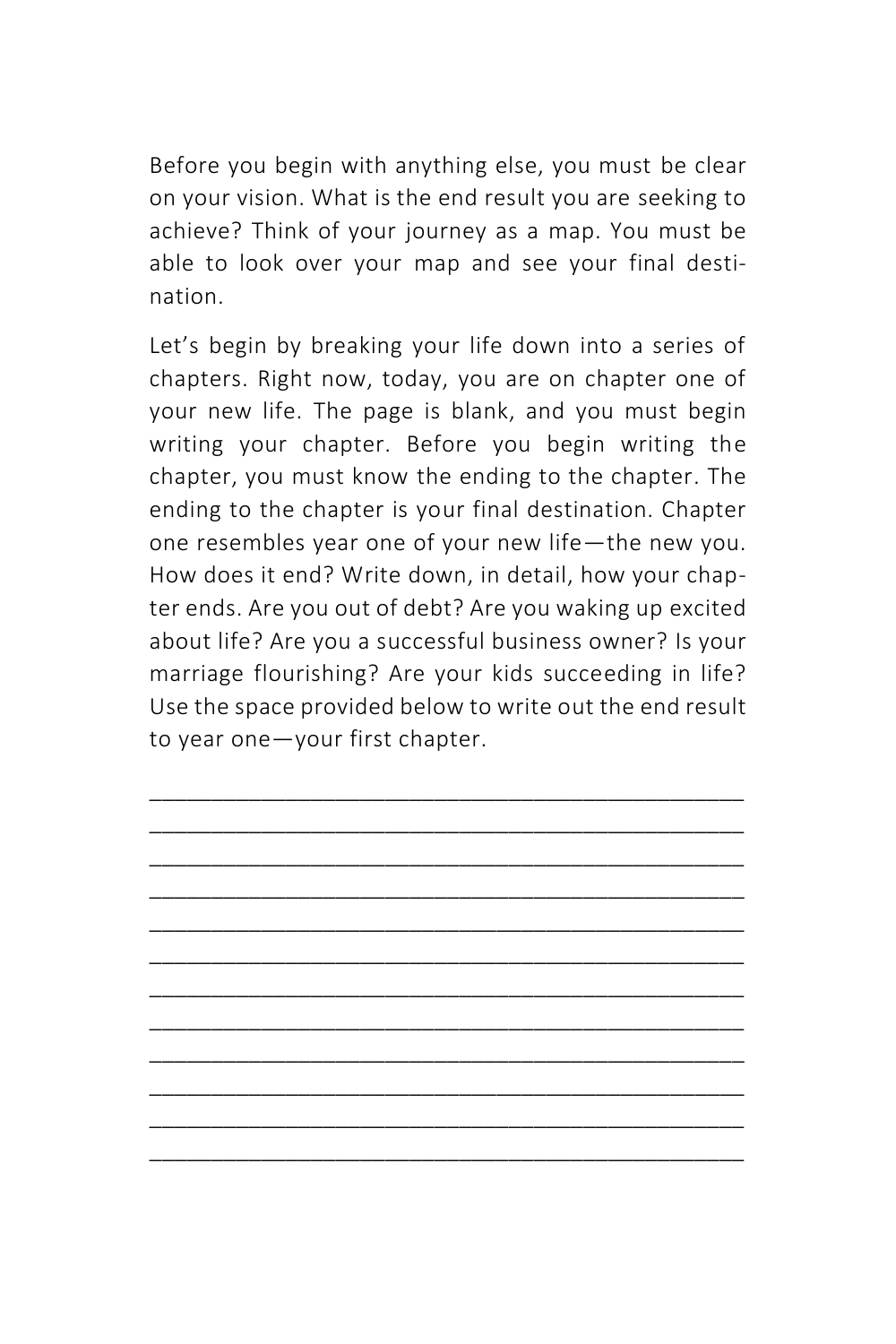Before you begin with anything else, you must be clear on your vision. What is the end result you are seeking to achieve? Think of your journey as a map. You must be able to look over your map and see your final destination.

Let's begin by breaking your life down into a series of chapters. Right now, today, you are on chapter one of your new life. The page is blank, and you must begin writing your chapter. Before you begin writing the chapter, you must know the ending to the chapter. The ending to the chapter is your final destination. Chapter one resembles year one of your new life—the new you. How does it end? Write down, in detail, how your chapter ends. Are you out of debt? Are you waking up excited about life? Are you a successful business owner? Is your marriage flourishing? Are your kids succeeding in life? Use the space provided below to write out the end result to year one—your first chapter.

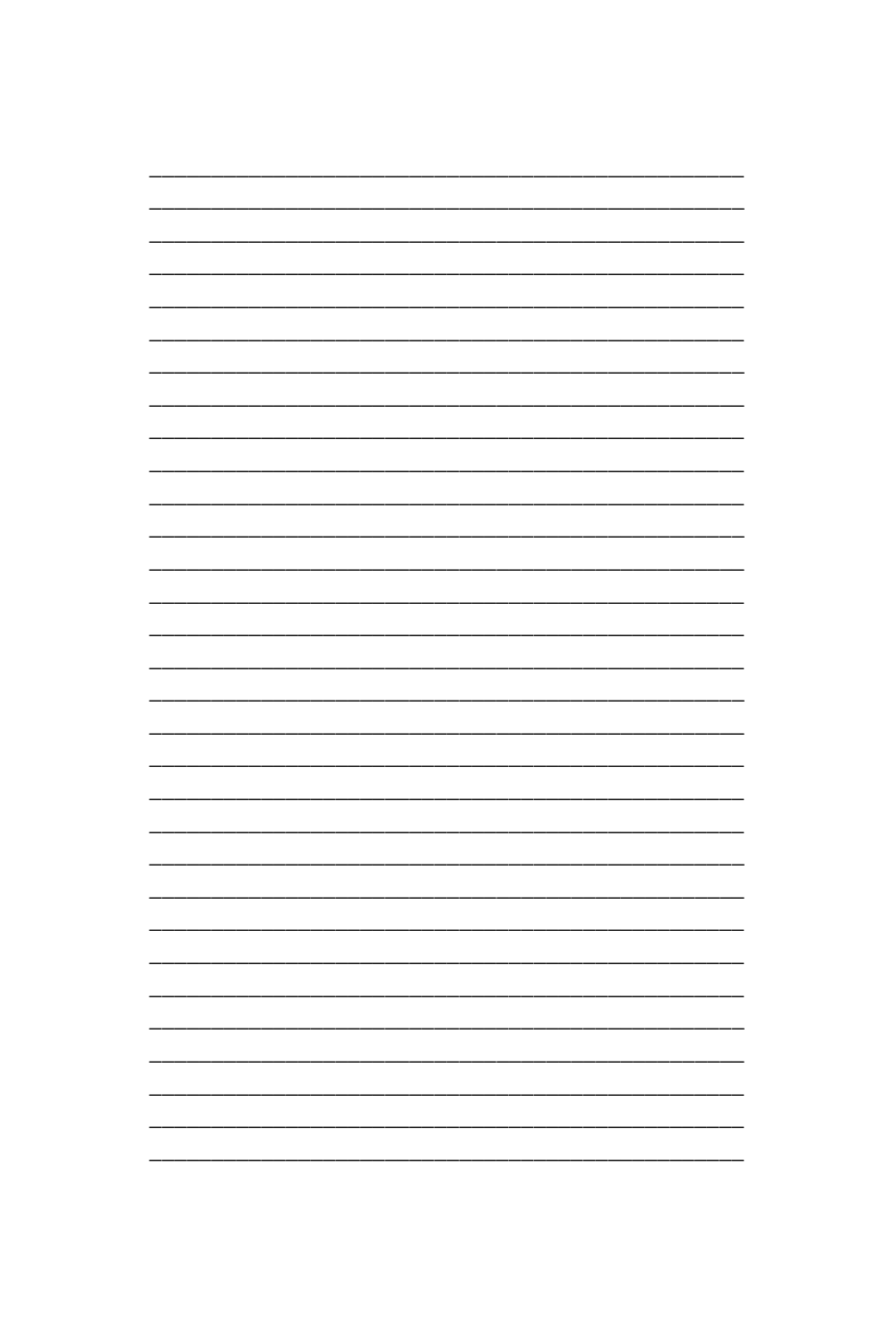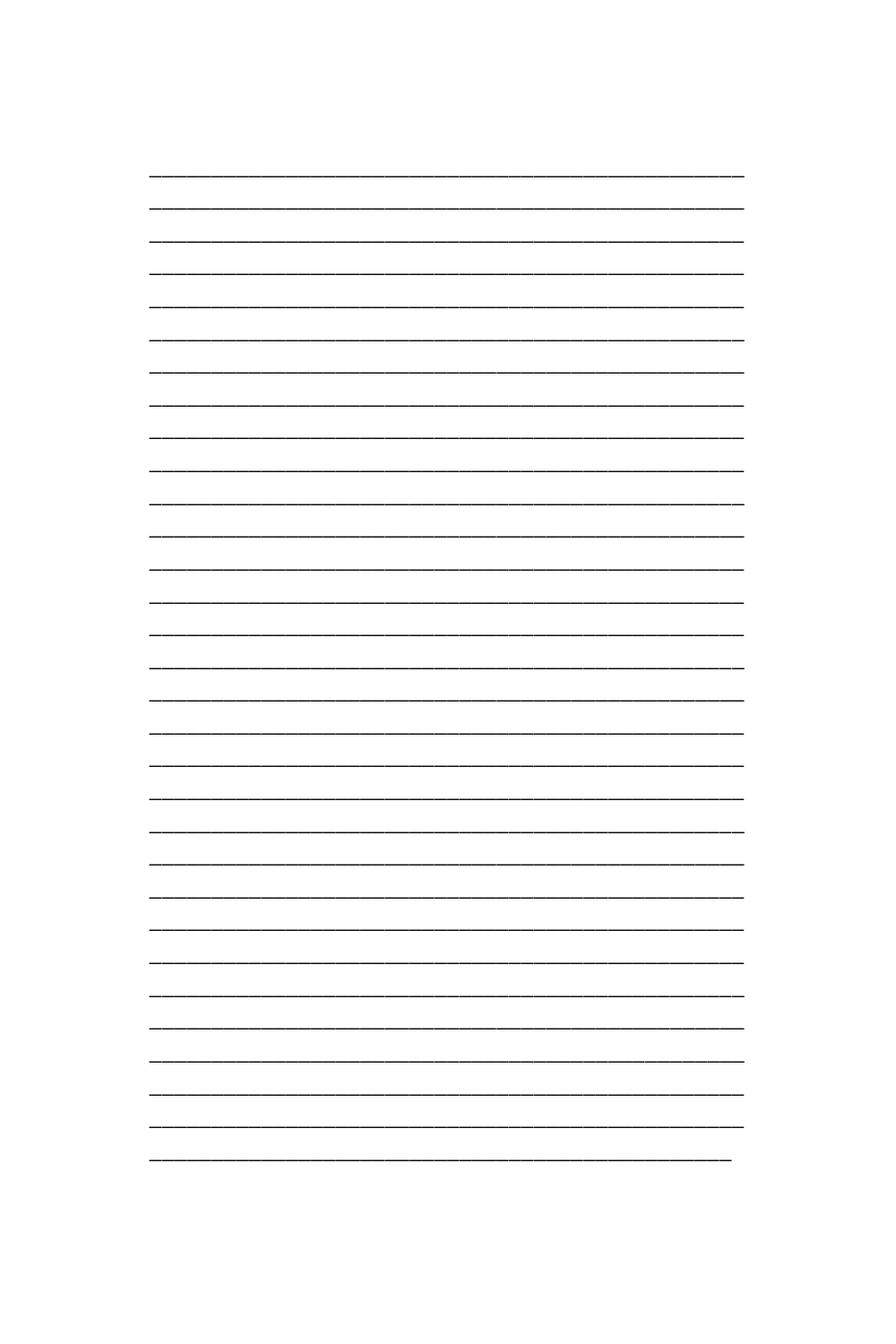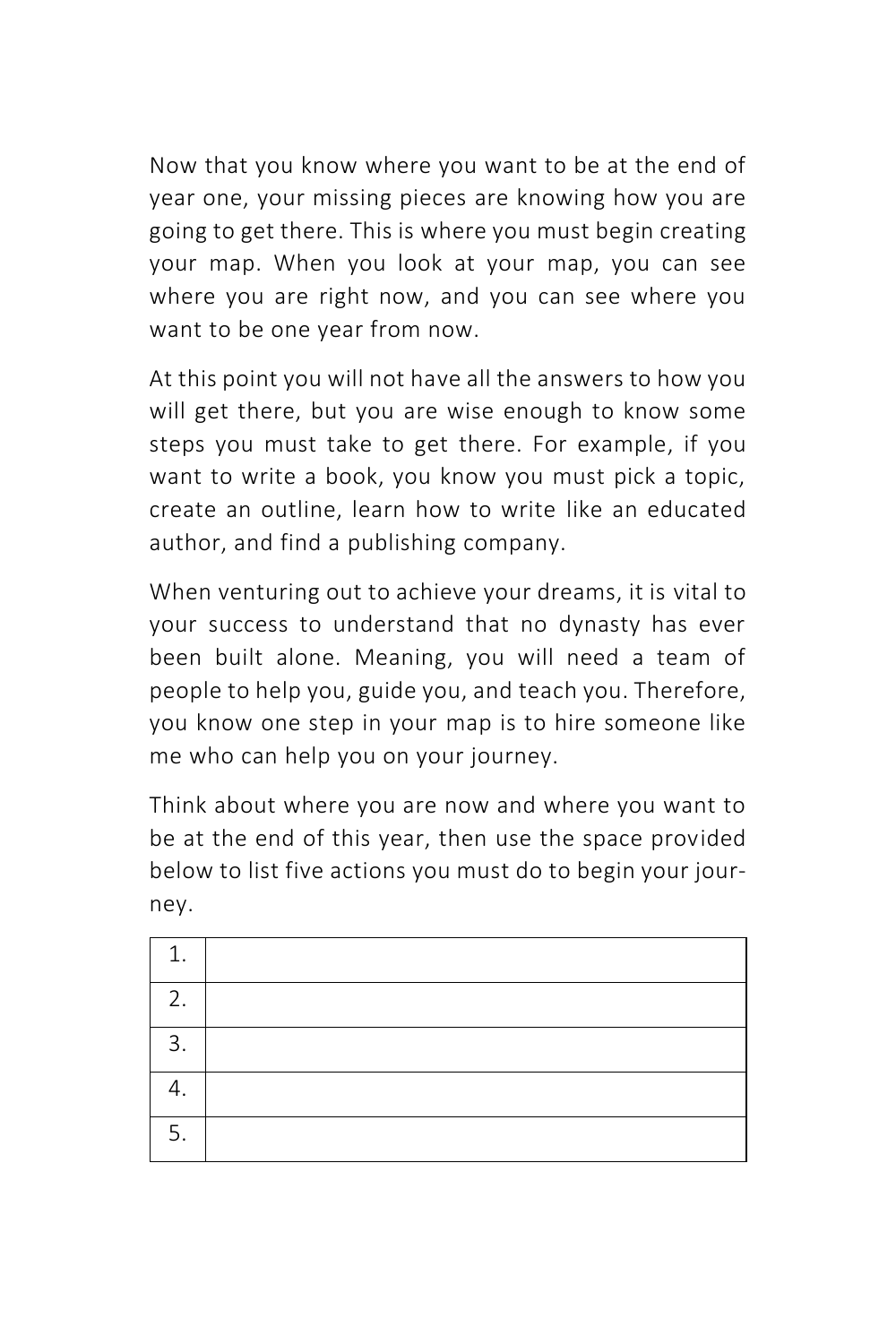Now that you know where you want to be at the end of year one, your missing pieces are knowing how you are going to get there. This is where you must begin creating your map. When you look at your map, you can see where you are right now, and you can see where you want to be one year from now.

At this point you will not have all the answers to how you will get there, but you are wise enough to know some steps you must take to get there. For example, if you want to write a book, you know you must pick a topic, create an outline, learn how to write like an educated author, and find a publishing company.

When venturing out to achieve your dreams, it is vital to your success to understand that no dynasty has ever been built alone. Meaning, you will need a team of people to help you, guide you, and teach you. Therefore, you know one step in your map is to hire someone like me who can help you on your journey.

Think about where you are now and where you want to be at the end of this year, then use the space provided below to list five actions you must do to begin your journey.

| 2. |  |
|----|--|
| 3. |  |
|    |  |
|    |  |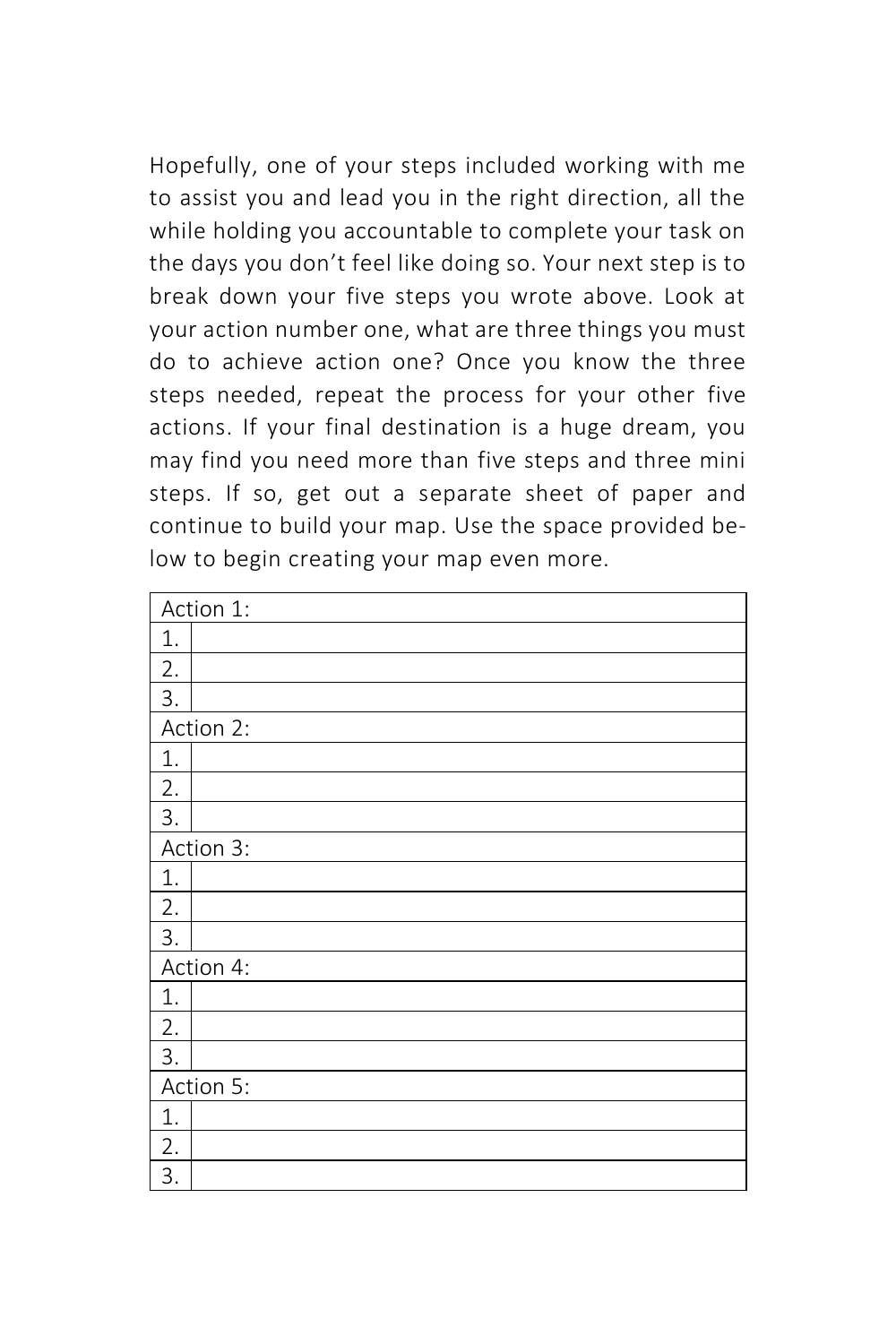Hopefully, one of your steps included working with me to assist you and lead you in the right direction, all the while holding you accountable to complete your task on the days you don't feel like doing so. Your next step is to break down your five steps you wrote above. Look at your action number one, what are three things you must do to achieve action one? Once you know the three steps needed, repeat the process for your other five actions. If your final destination is a huge dream, you may find you need more than five steps and three mini steps. If so, get out a separate sheet of paper and continue to build your map. Use the space provided below to begin creating your map even more.

| Action 1: |  |
|-----------|--|
| 1.        |  |
| 2.        |  |
| 3.        |  |
| Action 2: |  |
| 1.        |  |
| 2.        |  |
| 3.        |  |
| Action 3: |  |
| 1.        |  |
| 2.        |  |
| 3.        |  |
| Action 4: |  |
| 1.        |  |
| 2.        |  |
| 3.        |  |
| Action 5: |  |
| 1.        |  |
| 2.        |  |
| 3.        |  |